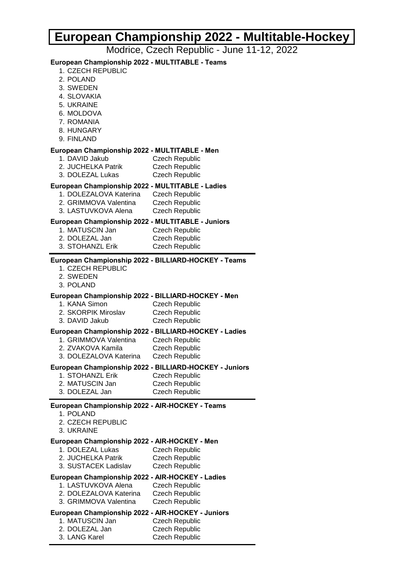# **European Championship 2022 - Multitable-Hockey**

Modrice, Czech Republic - June 11-12, 2022

## **European Championship 2022 - MULTITABLE - Teams**

- 1. CZECH REPUBLIC
- 2. POLAND
- 3. SWEDEN
- 4. SLOVAKIA
- 5. UKRAINE
- 6. MOLDOVA
- 7. ROMANIA
- 8. HUNGARY
- 9. FINLAND

### **European Championship 2022 - MULTITABLE - Men**

- 1. DAVID Jakub Czech Republic
- 2. JUCHELKA Patrik Czech Republic
- 3. DOLEZAL Lukas Czech Republic

### **European Championship 2022 - MULTITABLE - Ladies**

- 1. DOLEZALOVA Katerina Czech Republic
- 2. GRIMMOVA Valentina Czech Republic
- 3. LASTUVKOVA Alena Czech Republic

### **European Championship 2022 - MULTITABLE - Juniors**

- 1. MATUSCIN Jan Czech Republic
- 2. DOLEZAL Jan Czech Republic
- 3. STOHANZL Erik Czech Republic

#### **European Championship 2022 - BILLIARD-HOCKEY - Teams**

- 1. CZECH REPUBLIC
- 2. SWEDEN
- 3. POLAND

#### **European Championship 2022 - BILLIARD-HOCKEY - Men**

- 1. KANA Simon Czech Republic
- 2. SKORPIK Miroslav Czech Republic
- 3. DAVID Jakub Czech Republic

#### **European Championship 2022 - BILLIARD-HOCKEY - Ladies**

- 1. GRIMMOVA Valentina Czech Republic
- 2. ZVAKOVA Kamila Czech Republic
- 3. DOLEZALOVA Katerina Czech Republic

#### **European Championship 2022 - BILLIARD-HOCKEY - Juniors**

- 1. STOHANZL Erik Czech Republic
- 2. MATUSCIN Jan Czech Republic
- 3. DOLEZAL Jan Czech Republic

## **European Championship 2022 - AIR-HOCKEY - Teams**

- 1. POLAND
- 2. CZECH REPUBLIC
- 3. UKRAINE

#### **European Championship 2022 - AIR-HOCKEY - Men**

- 1. DOLEZAL Lukas Czech Republic
- 2. JUCHELKA Patrik Czech Republic
- 3. SUSTACEK Ladislav Czech Republic

## **European Championship 2022 - AIR-HOCKEY - Ladies**

- 1. LASTUVKOVA Alena Czech Republic
- 2. DOLEZALOVA Katerina Czech Republic
- 3. GRIMMOVA Valentina Czech Republic

## **European Championship 2022 - AIR-HOCKEY - Juniors**

- 1. MATUSCIN Jan Czech Republic
- 2. DOLEZAL Jan Czech Republic
- 3. LANG Karel Czech Republic